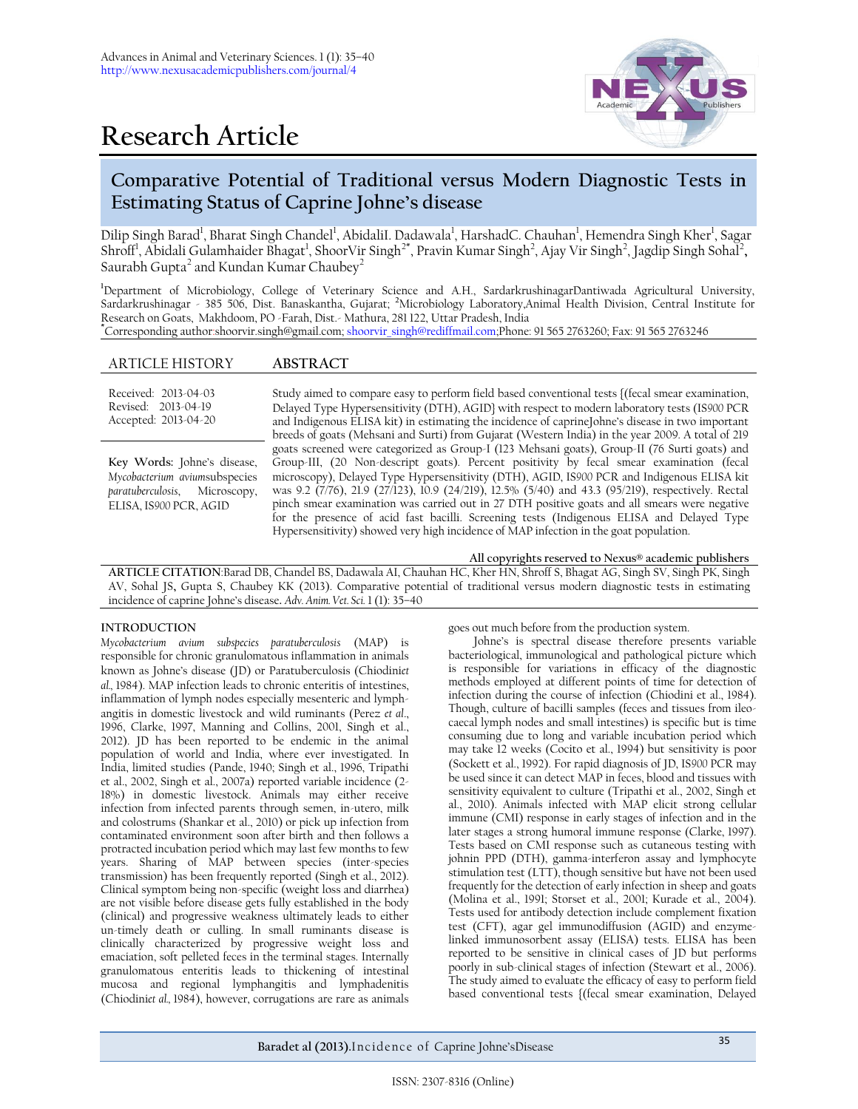# **Research Article**



# **Comparative Potential of Traditional versus Modern Diagnostic Tests in Estimating Status of Caprine Johne's disease**

Dilip Singh Barad<sup>1</sup>, Bharat Singh Chandel<sup>1</sup>, AbidaliI. Dadawala<sup>1</sup>, HarshadC. Chauhan<sup>1</sup>, Hemendra Singh Kher<sup>1</sup>, Sagar Shroff<sup>1</sup>, Abidali Gulamhaider Bhagat<sup>1</sup>, ShoorVir Singh<sup>2\*</sup>, Pravin Kumar Singh<sup>2</sup>, Ajay Vir Singh<sup>2</sup>, Jagdip Singh Sohal<sup>2</sup>, Saurabh Gupta $^2$  and Kundan Kumar Chaubey $^2$ 

**<sup>1</sup>**Department of Microbiology, College of Veterinary Science and A.H., SardarkrushinagarDantiwada Agricultural University, Sardarkrushinagar - 385 506, Dist. Banaskantha, Gujarat; **<sup>2</sup>**Microbiology Laboratory,Animal Health Division, Central Institute for Research on Goats, Makhdoom, PO -Farah, Dist.- Mathura, 281 122, Uttar Pradesh, India **\***Corresponding author:shoorvir.singh@gmail.com[; shoorvir\\_singh@rediffmail.com;P](mailto:shoorvir_singh@rediffmail.com)hone: 91 565 2763260; Fax: 91 565 2763246

### ARTICLE HISTORY **ABSTRACT**

Received: 2013-04-03 Revised: 2013-04-19 Accepted: 2013-04-20 Study aimed to compare easy to perform field based conventional tests {(fecal smear examination, Delayed Type Hypersensitivity (DTH), AGID} with respect to modern laboratory tests (IS*900* PCR and Indigenous ELISA kit) in estimating the incidence of caprineJohne's disease in two important breeds of goats (Mehsani and Surti) from Gujarat (Western India) in the year 2009. A total of 219 goats screened were categorized as Group-I (123 Mehsani goats), Group-II (76 Surti goats) and Group-III, (20 Non-descript goats). Percent positivity by fecal smear examination (fecal microscopy), Delayed Type Hypersensitivity (DTH), AGID, IS*900* PCR and Indigenous ELISA kit was 9.2 (7/76), 21.9 (27/123), 10.9 (24/219), 12.5% (5/40) and 43.3 (95/219), respectively. Rectal pinch smear examination was carried out in 27 DTH positive goats and all smears were negative for the presence of acid fast bacilli. Screening tests (Indigenous ELISA and Delayed Type Hypersensitivity) showed very high incidence of MAP infection in the goat population. **Key Words:** Johne's disease, *Mycobacterium avium*subspecies *paratuberculosis*, Microscopy, ELISA, IS*900* PCR, AGID

**All copyrights reserved to Nexus® academic publishers**

**ARTICLE CITATION**:Barad DB, Chandel BS, Dadawala AI, Chauhan HC, Kher HN, Shroff S, Bhagat AG, Singh SV, Singh PK, Singh AV, Sohal JS**,** Gupta S, Chaubey KK (2013). Comparative potential of traditional versus modern diagnostic tests in estimating incidence of caprine Johne's disease**.** *Adv. Anim. Vet. Sci.* 1 (1): 35–40

#### **INTRODUCTION**

*Mycobacterium avium subspecies paratuberculosis* (MAP) is responsible for chronic granulomatous inflammation in animals known as Johne's disease (JD) or Paratuberculosis (Chiodini*et al.,* 1984). MAP infection leads to chronic enteritis of intestines, inflammation of lymph nodes especially mesenteric and lymphangitis in domestic livestock and wild ruminants (Perez *et al*., 1996, Clarke, 1997, Manning and Collins, 2001, Singh et al., 2012). JD has been reported to be endemic in the animal population of world and India, where ever investigated. In India, limited studies (Pande, 1940; Singh et al., 1996, Tripathi et al., 2002, Singh et al., 2007a) reported variable incidence (2- 18%) in domestic livestock. Animals may either receive infection from infected parents through semen, in-utero, milk and colostrums (Shankar et al., 2010) or pick up infection from contaminated environment soon after birth and then follows a protracted incubation period which may last few months to few years. Sharing of MAP between species (inter-species transmission) has been frequently reported (Singh et al., 2012). Clinical symptom being non-specific (weight loss and diarrhea) are not visible before disease gets fully established in the body (clinical) and progressive weakness ultimately leads to either un-timely death or culling. In small ruminants disease is clinically characterized by progressive weight loss and emaciation, soft pelleted feces in the terminal stages. Internally granulomatous enteritis leads to thickening of intestinal mucosa and regional lymphangitis and lymphadenitis (Chiodini*et al.,* 1984), however, corrugations are rare as animals

goes out much before from the production system.

Johne's is spectral disease therefore presents variable bacteriological, immunological and pathological picture which is responsible for variations in efficacy of the diagnostic methods employed at different points of time for detection of infection during the course of infection (Chiodini et al., 1984). Though, culture of bacilli samples (feces and tissues from ileocaecal lymph nodes and small intestines) is specific but is time consuming due to long and variable incubation period which may take 12 weeks (Cocito et al., 1994) but sensitivity is poor (Sockett et al., 1992). For rapid diagnosis of JD, IS*900* PCR may be used since it can detect MAP in feces, blood and tissues with sensitivity equivalent to culture (Tripathi et al., 2002, Singh et al., 2010). Animals infected with MAP elicit strong cellular immune (CMI) response in early stages of infection and in the later stages a strong humoral immune response (Clarke, 1997). Tests based on CMI response such as cutaneous testing with johnin PPD (DTH), gamma-interferon assay and lymphocyte stimulation test (LTT), though sensitive but have not been used frequently for the detection of early infection in sheep and goats (Molina et al., 1991; Storset et al., 2001; Kurade et al., 2004). Tests used for antibody detection include complement fixation test (CFT), agar gel immunodiffusion (AGID) and enzymelinked immunosorbent assay (ELISA) tests. ELISA has been reported to be sensitive in clinical cases of JD but performs poorly in sub-clinical stages of infection (Stewart et al., 2006). The study aimed to evaluate the efficacy of easy to perform field based conventional tests {(fecal smear examination, Delayed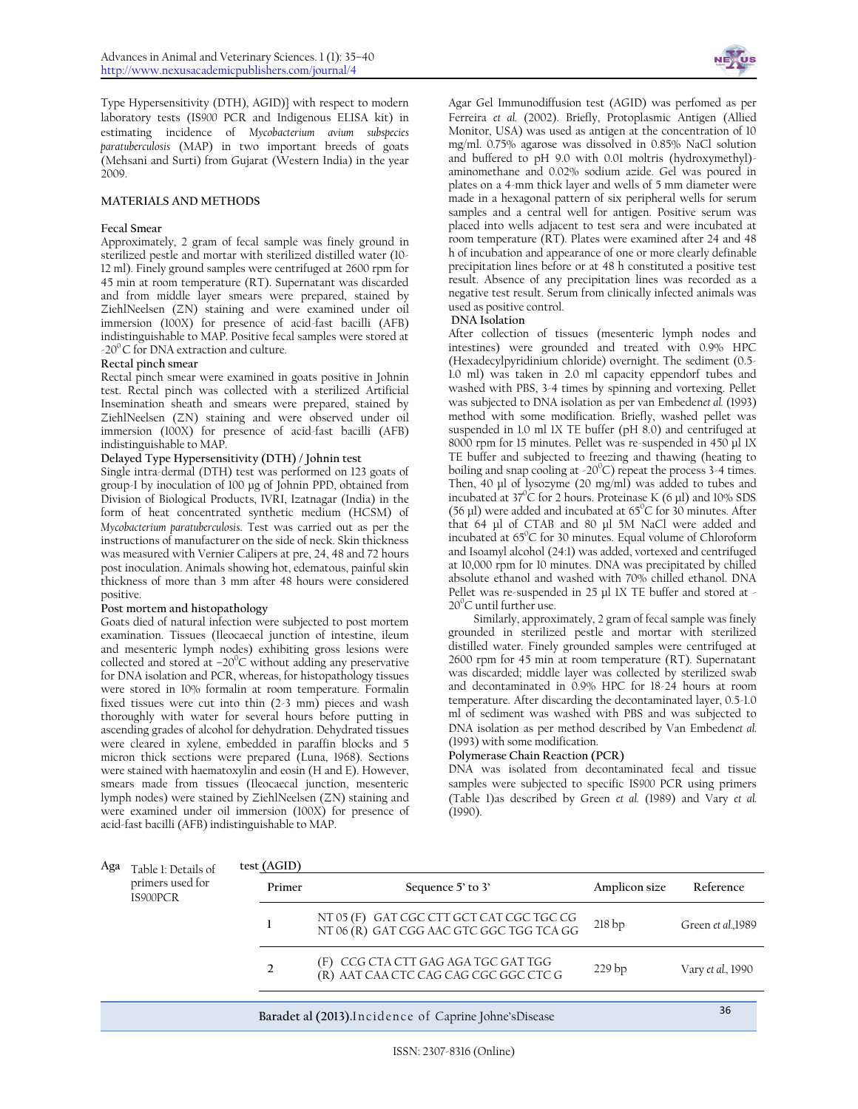Type Hypersensitivity (DTH), AGID)} with respect to modern laboratory tests (IS*900* PCR and Indigenous ELISA kit) in estimating incidence of *Mycobacterium avium subspecies paratuberculosis* (MAP) in two important breeds of goats (Mehsani and Surti) from Gujarat (Western India) in the year 2009.

#### **MATERIALS AND METHODS**

#### **Fecal Smear**

Approximately, 2 gram of fecal sample was finely ground in sterilized pestle and mortar with sterilized distilled water (10- 12 ml). Finely ground samples were centrifuged at 2600 rpm for 45 min at room temperature (RT). Supernatant was discarded and from middle layer smears were prepared, stained by ZiehlNeelsen (ZN) staining and were examined under oil immersion (100X) for presence of acid-fast bacilli (AFB) indistinguishable to MAP. Positive fecal samples were stored at  $-20^{\circ}$  C for DNA extraction and culture.

#### **Rectal pinch smear**

Rectal pinch smear were examined in goats positive in Johnin test. Rectal pinch was collected with a sterilized Artificial Insemination sheath and smears were prepared, stained by ZiehlNeelsen (ZN) staining and were observed under oil immersion (100X) for presence of acid-fast bacilli (AFB) indistinguishable to MAP.

#### **Delayed Type Hypersensitivity (DTH) / Johnin test**

Single intra-dermal (DTH) test was performed on 123 goats of group-I by inoculation of 100 µg of Johnin PPD, obtained from Division of Biological Products, IVRI, Izatnagar (India) in the form of heat concentrated synthetic medium (HCSM) of *Mycobacterium paratuberculosis*. Test was carried out as per the instructions of manufacturer on the side of neck. Skin thickness was measured with Vernier Calipers at pre, 24, 48 and 72 hours post inoculation. Animals showing hot, edematous, painful skin thickness of more than 3 mm after 48 hours were considered positive.

#### **Post mortem and histopathology**

Goats died of natural infection were subjected to post mortem examination. Tissues (Ileocaecal junction of intestine, ileum and mesenteric lymph nodes) exhibiting gross lesions were collected and stored at  $-20^{\circ}$ C without adding any preservative for DNA isolation and PCR, whereas, for histopathology tissues were stored in 10% formalin at room temperature. Formalin fixed tissues were cut into thin  $(2-3 \text{ mm})$  pieces and wash thoroughly with water for several hours before putting in ascending grades of alcohol for dehydration. Dehydrated tissues were cleared in xylene, embedded in paraffin blocks and 5 micron thick sections were prepared (Luna, 1968). Sections were stained with haematoxylin and eosin (H and E). However, smears made from tissues (Ileocaecal junction, mesenteric lymph nodes) were stained by ZiehlNeelsen (ZN) staining and were examined under oil immersion (100X) for presence of acid-fast bacilli (AFB) indistinguishable to MAP.



Agar Gel Immunodiffusion test (AGID) was perfomed as per Ferreira *et al.* (2002). Briefly, Protoplasmic Antigen (Allied Monitor, USA) was used as antigen at the concentration of 10 mg/ml. 0.75% agarose was dissolved in 0.85% NaCl solution and buffered to pH 9.0 with 0.01 moltris (hydroxymethyl) aminomethane and 0.02% sodium azide. Gel was poured in plates on a 4-mm thick layer and wells of 5 mm diameter were made in a hexagonal pattern of six peripheral wells for serum samples and a central well for antigen. Positive serum was placed into wells adjacent to test sera and were incubated at room temperature (RT). Plates were examined after 24 and 48 h of incubation and appearance of one or more clearly definable precipitation lines before or at 48 h constituted a positive test result. Absence of any precipitation lines was recorded as a negative test result. Serum from clinically infected animals was used as positive control.

#### **DNA Isolation**

After collection of tissues (mesenteric lymph nodes and intestines) were grounded and treated with 0.9% HPC (Hexadecylpyridinium chloride) overnight. The sediment (0.5- 1.0 ml) was taken in 2.0 ml capacity eppendorf tubes and washed with PBS, 3-4 times by spinning and vortexing. Pellet was subjected to DNA isolation as per van Embeden*et al.* (1993) method with some modification. Briefly, washed pellet was suspended in 1.0 ml 1X TE buffer (pH 8.0) and centrifuged at 8000 rpm for 15 minutes. Pellet was re-suspended in 450 µl 1X TE buffer and subjected to freezing and thawing (heating to boiling and snap cooling at  $-20^{\circ}$ C) repeat the process 3-4 times. Then, 40 µl of lysozyme (20 mg/ml) was added to tubes and incubated at  $37^{\circ}$ C for 2 hours. Proteinase K (6 µl) and 10% SDS (56 µl) were added and incubated at  $65^{\circ}$ C for 30 minutes. After that 64 µl of CTAB and 80 µl 5M NaCl were added and incubated at  $65^{\circ}$ C for 30 minutes. Equal volume of Chloroform and Isoamyl alcohol (24:1) was added, vortexed and centrifuged at 10,000 rpm for 10 minutes. DNA was precipitated by chilled absolute ethanol and washed with 70% chilled ethanol. DNA Pellet was re-suspended in 25 µl 1X TE buffer and stored at - $20^{\circ}$ C until further use.

Similarly, approximately, 2 gram of fecal sample was finely grounded in sterilized pestle and mortar with sterilized distilled water. Finely grounded samples were centrifuged at 2600 rpm for 45 min at room temperature (RT). Supernatant was discarded; middle layer was collected by sterilized swab and decontaminated in 0.9% HPC for 18-24 hours at room temperature. After discarding the decontaminated layer, 0.5-1.0 ml of sediment was washed with PBS and was subjected to DNA isolation as per method described by Van Embeden*et al.* (1993) with some modification.

#### **Polymerase Chain Reaction (PCR)**

DNA was isolated from decontaminated fecal and tissue samples were subjected to specific IS*900* PCR using primers (Table 1)as described by Green *et al.* (1989) and Vary *et al.* (1990).

| Aga | Table 1: Details of<br>primers used for<br>IS900PCR | test (AGID)   |                                                                                      |                   |                   |
|-----|-----------------------------------------------------|---------------|--------------------------------------------------------------------------------------|-------------------|-------------------|
|     |                                                     | Primer        | Sequence 5' to 3'                                                                    | Amplicon size     | Reference         |
|     |                                                     |               | NT 05 (F) GAT CGC CTT GCT CAT CGC TGC CG<br>NT 06 (R) GAT CGG AAC GTC GGC TGG TCA GG | 218bp             | Green et al.,1989 |
|     |                                                     | $\mathcal{D}$ | (F) CCG CTA CTT GAG AGA TGC GAT TGG<br>(R) AAT CAA CTC CAG CAG CGC GGC CTC G         | 229 <sub>bp</sub> | Vary et al., 1990 |
|     |                                                     |               | Baradet al (2013). Incidence of Caprine Johne's Disease                              |                   | 36                |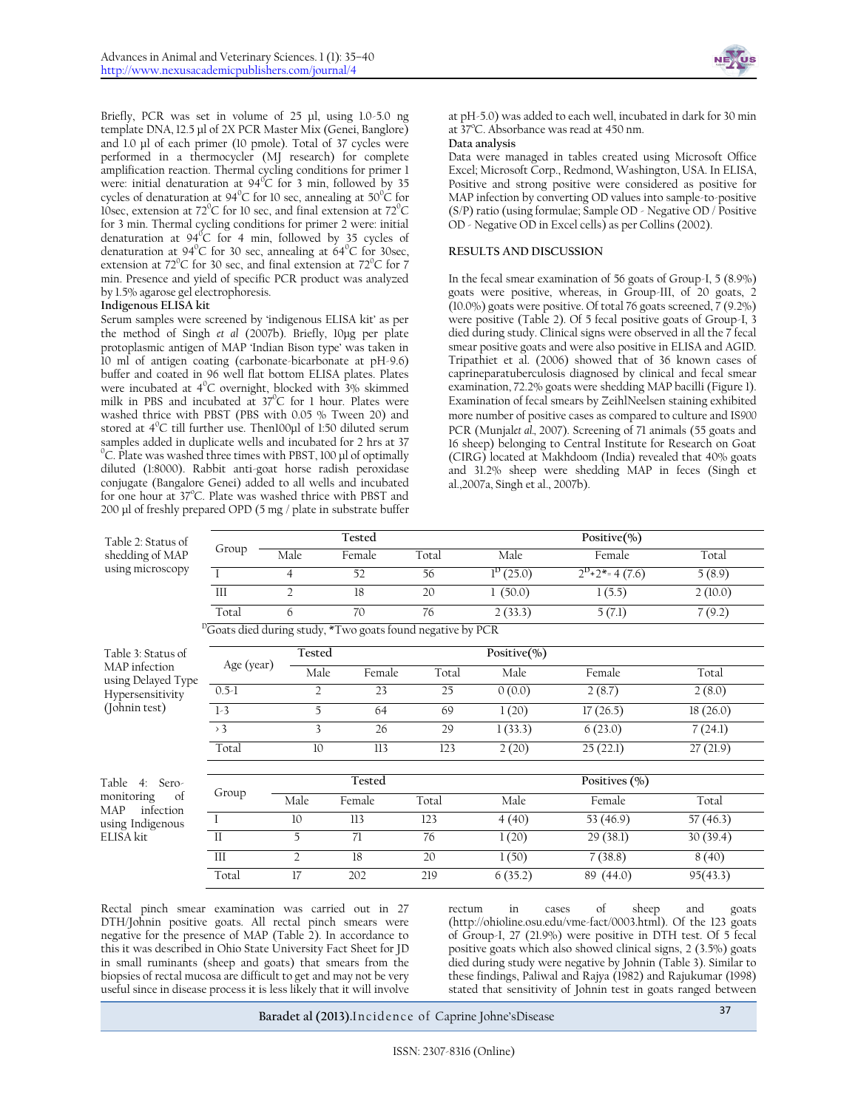

Briefly, PCR was set in volume of 25 µl, using 1.0-5.0 ng template DNA, 12.5 µl of 2X PCR Master Mix (Genei, Banglore) and 1.0 µl of each primer (10 pmole). Total of 37 cycles were performed in a thermocycler (MJ research) for complete amplification reaction. Thermal cycling conditions for primer 1 were: initial denaturation at  $94^{\circ}C$  for 3 min, followed by 35 cycles of denaturation at 94 $^{\circ}$ C for 10 sec, annealing at 50 $^{\circ}$ C for 10sec, extension at  $72^{\circ}$ C for 10 sec, and final extension at  $72^{\circ}$ C for 3 min. Thermal cycling conditions for primer 2 were: initial denaturation at  $94^{\circ}C$  for 4 min, followed by 35 cycles of denaturation at 94 $^0$ C for 30 sec, annealing at 64 $^0$ C for 30 sec, extension at  $72^{\circ}$ C for 30 sec, and final extension at  $72^{\circ}$ C for 7 min. Presence and yield of specific PCR product was analyzed by 1.5% agarose gel electrophoresis.

#### **Indigenous ELISA kit**

Serum samples were screened by 'indigenous ELISA kit' as per the method of Singh *et al* (2007b). Briefly, 10µg per plate protoplasmic antigen of MAP 'Indian Bison type' was taken in 10 ml of antigen coating (carbonate-bicarbonate at pH-9.6) buffer and coated in 96 well flat bottom ELISA plates. Plates were incubated at  $4^{\circ}$ C overnight, blocked with  $3\%$  skimmed milk in PBS and incubated at  $37^{\circ}$ C for 1 hour. Plates were washed thrice with PBST (PBS with 0.05 % Tween 20) and stored at  $4^{\circ}$ C till further use. Then100µl of 1:50 diluted serum samples added in duplicate wells and incubated for 2 hrs at 37  $\rm{^{0}}C$ . Plate was washed three times with PBST, 100  $\mu$ l of optimally diluted (1:8000). Rabbit anti-goat horse radish peroxidase conjugate (Bangalore Genei) added to all wells and incubated for one hour at 37°C. Plate was washed thrice with PBST and 200 µl of freshly prepared OPD (5 mg / plate in substrate buffer

at pH-5.0) was added to each well, incubated in dark for 30 min at  $37^{\circ}$ C. Absorbance was read at 450 nm.

#### **Data analysis**

Data were managed in tables created using Microsoft Office Excel; Microsoft Corp., Redmond, Washington, USA. In ELISA, Positive and strong positive were considered as positive for MAP infection by converting OD values into sample-to-positive (S/P) ratio (using formulae; Sample OD - Negative OD / Positive OD - Negative OD in Excel cells) as per Collins (2002).

#### **RESULTS AND DISCUSSION**

In the fecal smear examination of 56 goats of Group-I, 5 (8.9%) goats were positive, whereas, in Group-III, of 20 goats, 2  $(10.0\%)$  goats were positive. Of total 76 goats screened,  $(9.2\%)$ were positive (Table 2). Of 5 fecal positive goats of Group-I, 3 died during study. Clinical signs were observed in all the 7 fecal smear positive goats and were also positive in ELISA and AGID. Tripathiet et al. (2006) showed that of 36 known cases of caprineparatuberculosis diagnosed by clinical and fecal smear examination, 72.2% goats were shedding MAP bacilli (Figure 1). Examination of fecal smears by ZeihlNeelsen staining exhibited more number of positive cases as compared to culture and IS*900* PCR (Munjal*et al.,* 2007). Screening of 71 animals (55 goats and 16 sheep) belonging to Central Institute for Research on Goat (CIRG) located at Makhdoom (India) revealed that 40% goats and 31.2% sheep were shedding MAP in feces (Singh et al.,2007a, Singh et al., 2007b).

| Table 2: Status of                          |              |                | Tested                                                                 |       |                  | Positive(%)                       |          |
|---------------------------------------------|--------------|----------------|------------------------------------------------------------------------|-------|------------------|-----------------------------------|----------|
| shedding of MAP                             | Group        | Male           | Female                                                                 | Total | Male             | Female                            | Total    |
| using microscopy                            | $\mathbf{I}$ | $\overline{4}$ | 52                                                                     | 56    | $1^{D}(25.0)$    | $2^{D}$ +2 <sup>*</sup> = 4 (7.6) | 5(8.9)   |
|                                             | III          | $\overline{2}$ | 18                                                                     | 20    | 1(50.0)          | 1(5.5)                            | 2(10.0)  |
|                                             | Total        | 6              | 70                                                                     | 76    | 2(33.3)          | 5(7.1)                            | 7(9.2)   |
|                                             |              |                | <sup>D</sup> Goats died during study, *Two goats found negative by PCR |       |                  |                                   |          |
| Table 3: Status of                          |              | Tested         |                                                                        |       | Positive $(\% )$ |                                   |          |
| MAP infection<br>using Delayed Type         | Age (year)   | Male           | Female                                                                 | Total | Male             | Female                            | Total    |
| Hypersensitivity                            | $0.5-1$      | $\overline{2}$ | 23                                                                     | 25    | 0(0.0)           | 2(8.7)                            | 2(8.0)   |
| (Johnin test)                               | $1-3$        | 5              | 64                                                                     | 69    | 1(20)            | 17(26.5)                          | 18(26.0) |
|                                             | > 3          | 3              | 26                                                                     | 29    | 1(33.3)          | 6(23.0)                           | 7(24.1)  |
|                                             | Total        | 10             | 113                                                                    | 123   | 2(20)            | 25(22.1)                          | 27(21.9) |
| Table<br>Sero-<br>4 <sup>·</sup>            |              |                | Tested                                                                 |       |                  | Positives $(\% )$                 |          |
| monitoring<br>of<br>infection<br><b>MAP</b> | Group        | Male           | Female                                                                 | Total | Male             | Female                            | Total    |
| using Indigenous                            | $\mathsf{I}$ | 10             | 113                                                                    | 123   | 4(40)            | 53 (46.9)                         | 57(46.3) |
| ELISA kit                                   | $\mathbf{I}$ | 5              | 71                                                                     | 76    | 1(20)            | 29(38.1)                          | 30(39.4) |
|                                             | III          | $\overline{2}$ | 18                                                                     | 20    | 1(50)            | 7(38.8)                           | 8(40)    |
|                                             | Total        | 17             | 202                                                                    | 219   | 6(35.2)          | 89 (44.0)                         | 95(43.3) |
|                                             |              |                |                                                                        |       |                  |                                   |          |

Rectal pinch smear examination was carried out in 27 DTH/Johnin positive goats. All rectal pinch smears were negative for the presence of MAP (Table 2). In accordance to this it was described in Ohio State University Fact Sheet for JD in small ruminants (sheep and goats) that smears from the biopsies of rectal mucosa are difficult to get and may not be very useful since in disease process it is less likely that it will involve

rectum in cases of sheep and goats [\(http://ohioline.osu.edu/vme-fact/0003.html\)](http://ohioline.osu.edu/vme-fact/0003.html). Of the 123 goats of Group-I, 27 (21.9%) were positive in DTH test. Of 5 fecal positive goats which also showed clinical signs, 2 (3.5%) goats died during study were negative by Johnin (Table 3). Similar to these findings, Paliwal and Rajya (1982) and Rajukumar (1998) stated that sensitivity of Johnin test in goats ranged between

**Baradet al (2013).**Incidence of Caprine Johne'sDisease 37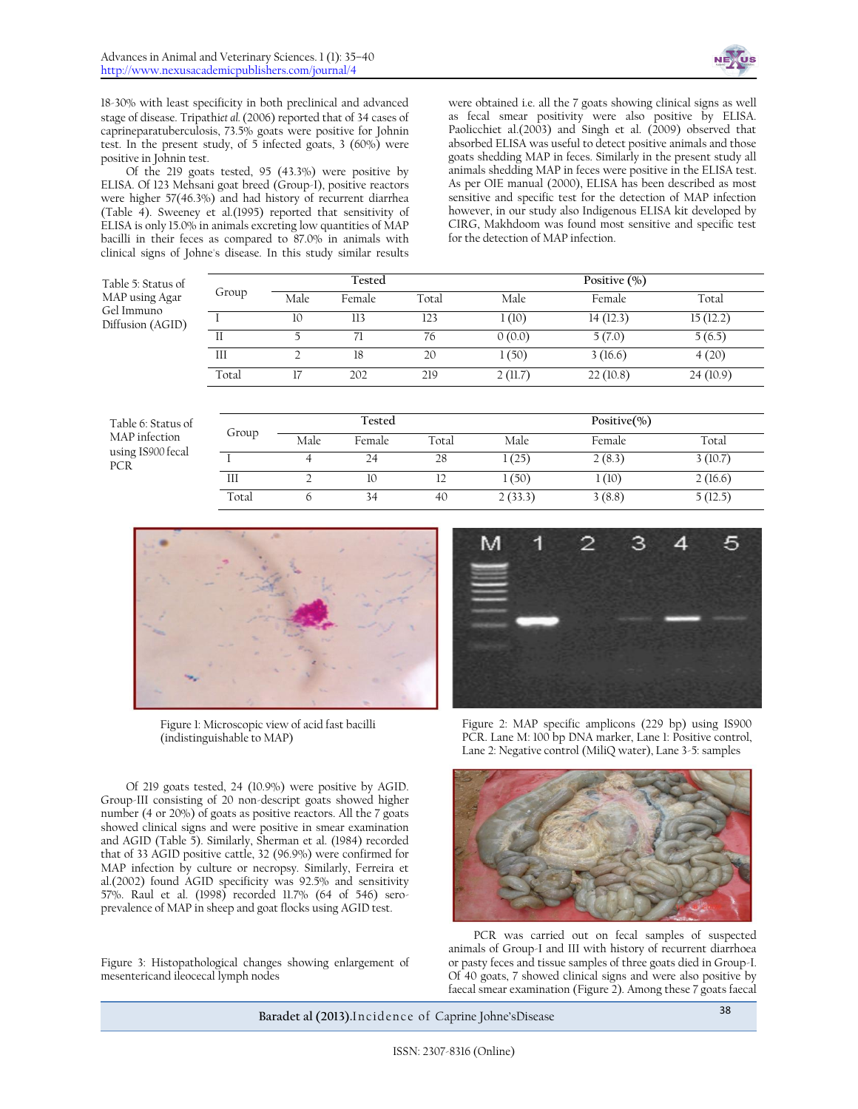

18-30% with least specificity in both preclinical and advanced stage of disease. Tripathi*et al.* (2006) reported that of 34 cases of caprineparatuberculosis, 73.5% goats were positive for Johnin test. In the present study, of 5 infected goats, 3  $(60\%)$  were positive in Johnin test.

Of the 219 goats tested, 95 (43.3%) were positive by ELISA. Of 123 Mehsani goat breed (Group-I), positive reactors were higher 57(46.3%) and had history of recurrent diarrhea (Table 4). Sweeney et al.(1995) reported that sensitivity of ELISA is only 15.0% in animals excreting low quantities of MAP bacilli in their feces as compared to 87.0% in animals with clinical signs of Johne's disease. In this study similar results

P

were obtained i.e. all the 7 goats showing clinical signs as well as fecal smear positivity were also positive by ELISA. Paolicchiet al.(2003) and Singh et al. (2009) observed that absorbed ELISA was useful to detect positive animals and those goats shedding MAP in feces. Similarly in the present study all animals shedding MAP in feces were positive in the ELISA test. As per OIE manual (2000), ELISA has been described as most sensitive and specific test for the detection of MAP infection however, in our study also Indigenous ELISA kit developed by CIRG, Makhdoom was found most sensitive and specific test for the detection of MAP infection.

|       |       | Tested |       |         | Positive $(\% )$ |          |  |
|-------|-------|--------|-------|---------|------------------|----------|--|
|       | Male  | Female | Total | Male    | Female           | Total    |  |
|       | 10    | 113    | 123   | 1(10)   | 14(12.3)         | 15(12.2) |  |
|       |       |        | 76    | 0(0.0)  | 5(7.0)           | 5(6.5)   |  |
| Ш     |       | 18     | 20    | 1(50)   | 3(16.6)          | 4(20)    |  |
| Total |       | 202    | 219   | 2(11.7) | 22(10.8)         | 24(10.9) |  |
|       | Group |        |       |         |                  |          |  |

| Table 6: Status of       |       |      | Tested |       |         | Positive $(\% )$ |         |
|--------------------------|-------|------|--------|-------|---------|------------------|---------|
| MAP infection            | Group | Male | Female | Total | Male    | Female           | Total   |
| using IS900 fecal<br>PCR |       |      |        | 28    | (25)    | 2(8.3)           | 3(10.7) |
|                          | Ш     |      | 10     | ┸     | 1(50)   | 1(10)            | 2(16.6) |
|                          | Total |      | -54    | 40    | 2(33.3) | 3(8.8)           | 5(12.5) |



Figure 1: Microscopic view of acid fast bacilli (indistinguishable to MAP)

Of 219 goats tested, 24 (10.9%) were positive by AGID. Group-III consisting of 20 non-descript goats showed higher number (4 or 20%) of goats as positive reactors. All the 7 goats showed clinical signs and were positive in smear examination and AGID (Table 5). Similarly, Sherman et al. (1984) recorded that of 33 AGID positive cattle, 32 (96.9%) were confirmed for MAP infection by culture or necropsy. Similarly, Ferreira et al.(2002) found AGID specificity was 92.5% and sensitivity 57%. Raul et al. (1998) recorded 11.7% (64 of 546) seroprevalence of MAP in sheep and goat flocks using AGID test.

Figure 3: Histopathological changes showing enlargement of mesentericand ileocecal lymph nodes



Figure 2: MAP specific amplicons (229 bp) using IS900 PCR. Lane M: 100 bp DNA marker, Lane 1: Positive control, Lane 2: Negative control (MiliQ water), Lane 3-5: samples



PCR was carried out on fecal samples of suspected animals of Group-I and III with history of recurrent diarrhoea or pasty feces and tissue samples of three goats died in Group-I. Of 40 goats, 7 showed clinical signs and were also positive by faecal smear examination (Figure 2). Among these 7 goats faecal

**Baradet al (2013).**Incidence of Caprine Johne'sDisease 38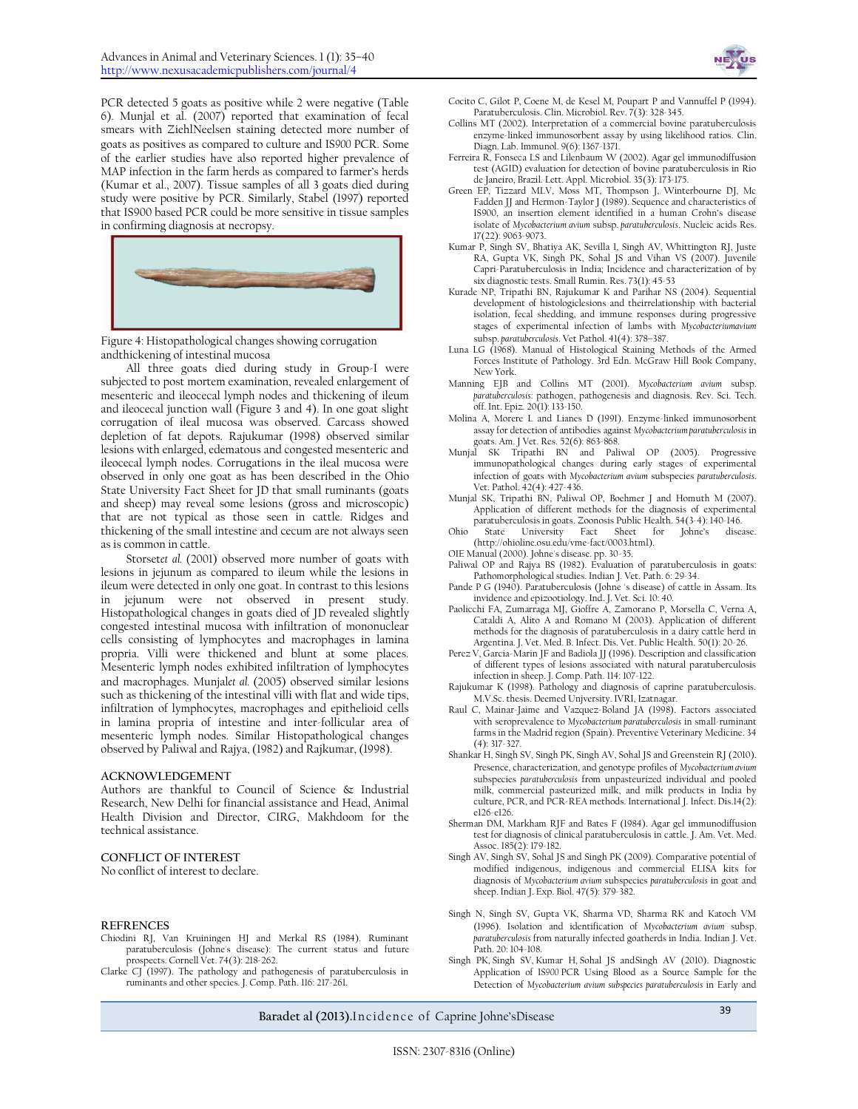

PCR detected 5 goats as positive while 2 were negative (Table 6). Munjal et al. (2007) reported that examination of fecal smears with ZiehlNeelsen staining detected more number of goats as positives as compared to culture and IS*900* PCR. Some of the earlier studies have also reported higher prevalence of MAP infection in the farm herds as compared to farmer's herds (Kumar et al., 2007). Tissue samples of all 3 goats died during study were positive by PCR. Similarly, Stabel (1997) reported that IS900 based PCR could be more sensitive in tissue samples in confirming diagnosis at necropsy.



Figure 4: Histopathological changes showing corrugation andthickening of intestinal mucosa

All three goats died during study in Group-I were subjected to post mortem examination, revealed enlargement of mesenteric and ileocecal lymph nodes and thickening of ileum and ileocecal junction wall (Figure 3 and 4). In one goat slight corrugation of ileal mucosa was observed. Carcass showed depletion of fat depots. Rajukumar (1998) observed similar lesions with enlarged, edematous and congested mesenteric and ileocecal lymph nodes. Corrugations in the ileal mucosa were observed in only one goat as has been described in the Ohio State University Fact Sheet for JD that small ruminants (goats and sheep) may reveal some lesions (gross and microscopic) that are not typical as those seen in cattle. Ridges and thickening of the small intestine and cecum are not always seen as is common in cattle.

Storsetet al. (2001) observed more number of goats with lesions in jejunum as compared to ileum while the lesions in ileum were detected in only one goat. In contrast to this lesions in jejunum were not observed in present study. Histopathological changes in goats died of JD revealed slightly congested intestinal mucosa with infiltration of mononuclear cells consisting of lymphocytes and macrophages in lamina propria. Villi were thickened and blunt at some places. Mesenteric lymph nodes exhibited infiltration of lymphocytes and macrophages. Munjal*et al.* (2005) observed similar lesions such as thickening of the intestinal villi with flat and wide tips, infiltration of lymphocytes, macrophages and epithelioid cells in lamina propria of intestine and inter-follicular area of mesenteric lymph nodes. Similar Histopathological changes observed by Paliwal and Rajya, (1982) and Rajkumar, (1998).

#### **ACKNOWLEDGEMENT**

Authors are thankful to Council of Science & Industrial Research, New Delhi for financial assistance and Head, Animal Health Division and Director, CIRG, Makhdoom for the technical assistance.

#### **CONFLICT OF INTEREST**

No conflict of interest to declare.

#### **REFRENCES**

- Chiodini RJ, Van Kruiningen HJ and Merkal RS (1984). Ruminant paratuberculosis (Johne's disease): The current status and future prospects. Cornell Vet. 74(3): 218-262.
- Clarke CJ (1997). The pathology and pathogenesis of paratuberculosis in ruminants and other species. J. Comp. Path. 116: 217-261.
- Cocito C, Gilot P, Coene M, de Kesel M, Poupart P and Vannuffel P (1994). Paratuberculosis. Clin. Microbiol. Rev. 7(3): 328-345.
- Collins MT (2002). Interpretation of a commercial bovine paratuberculosis enzyme-linked immunosorbent assay by using likelihood ratios. [Clin.](http://www.ncbi.nlm.nih.gov/pmc/journals/84/#cdli) Diagn. Lab. [Immunol.](http://www.ncbi.nlm.nih.gov/pmc/journals/84/#cdli) 9(6): 1367-1371.
- Ferreira R, Fonseca LS and Lilenbaum W (2002). Agar gel immunodiffusion test (AGID) evaluation for detection of bovine paratuberculosis in Rio de Janeiro, Brazil. Lett. Appl. Microbiol. 35(3): 173-175.
- Green EP, Tizzard MLV, Moss MT, Thompson J, Winterbourne DJ, Mc Fadden JJ and Hermon-Taylor J (1989). Sequence and characteristics of IS900, an insertion element identified in a human Crohn's disease isolate of *Mycobacterium avium* subsp. *paratuberculosis*. Nucleic acids Res. 17(22): 9063-9073.
- Kumar P, Singh SV, Bhatiya AK, Sevilla I, Singh AV, Whittington RJ, Juste RA, Gupta VK, Singh PK, Sohal JS and Vihan VS (2007). Juvenile Capri-Paratuberculosis in India; Incidence and characterization of by six diagnostic tests. Small Rumin. Res. 73(1): 45-53
- Kurade NP, Tripathi BN, Rajukumar K and Parihar NS (2004). Sequential development of histologiclesions and theirrelationship with bacterial isolation, fecal shedding, and immune responses during progressive stages of experimental infection of lambs with *Mycobacteriumavium* subsp. *paratuberculosis*. Vet Pathol. 41(4): 378–387.
- Luna LG (1968). Manual of Histological Staining Methods of the Armed Forces Institute of Pathology. 3rd Edn. McGraw Hill Book Company, New York.
- Manning EJB and Collins MT (2001). *Mycobacterium avium* subsp. *paratuberculosis*: pathogen, pathogenesis and diagnosis. Rev. Sci. Tech. off. Int. Epiz. 20(1): 133-150.
- Molina A, Morere L and Lianes D (1991). Enzyme-linked immunosorbent assay for detection of antibodies against *Mycobacterium paratuberculosis* in goats. Am. J Vet. Res. 52(6): 863-868.
- Munjal SK Tripathi BN and Paliwal OP (2005). Progressive immunopathological changes during early stages of experimental infection of goats with *Mycobacterium avium* subspecies *paratuberculosis*. Vet. Pathol. 42(4): 427-436.
- Munjal SK, Tripathi BN, Paliwal OP, Boehmer J and Homuth M (2007). Application of different methods for the diagnosis of experimental paratuberculosis in goats. Zoonosis Public Health. 54(3-4): 140-146.
- Ohio State University Fact Sheet for Johne's disease. [\(http://ohioline.osu.edu/vme-fact/0003.html\)](http://ohioline.osu.edu/vme-fact/0003.html).
- OIE Manual (2000). Johne's disease. pp. 30-35.
- Paliwal OP and Rajya BS (1982). Evaluation of paratuberculosis in goats: Pathomorphological studies. Indian J. Vet. Path. 6: 29-34.
- Pande P G (1940). Paratuberculosis (Johne 's disease) of cattle in Assam. Its invidence and epizootiology. Ind. J. Vet. Sci. 10: 40.
- Paolicchi FA, Zumarraga MJ, Gioffre A, Zamorano P, Morsella C, Verna A, Cataldi A, Alito A and Romano M (2003). Application of different methods for the diagnosis of paratuberculosis in a dairy cattle herd in Argentina. J. Vet. Med. B. Infect. Dis. Vet. Public Health. 50(1): 20-26.
- Perez V, Garcia-Marin JF and Badiola JJ (1996). Description and classification of different types of lesions associated with natural paratuberculosis infection in sheep. J. Comp. Path. 114: 107-122.
- Rajukumar K (1998). Pathology and diagnosis of caprine paratuberculosis. M.V.Sc. thesis. Deemed Unjversity. IVRI, Izatnagar.
- Raul C, Mainar-Jaime and Vazquez-Boland JA (1998). Factors associated with seroprevalence to *Mycobacterium paratuberculosis* in small-ruminant farms in the Madrid region (Spain)[. Preventive Veterinary Medicine.](http://www.sciencedirect.com/science/journal/01675877) 34 (4): 317-327.
- Shankar H, Singh SV, Singh PK, Singh AV, Sohal JS and Greenstein RJ (2010). Presence, characterization, and genotype profiles of *Mycobacterium avium* subspecies *paratuberculosis* from unpasteurized individual and pooled milk, commercial pasteurized milk, and milk products in India by culture, PCR, and PCR-REA methods. International J. Infect. Dis.14(2): e126-e126.
- Sherman DM, Markham RJF and Bates F (1984). Agar gel immunodiffusion test for diagnosis of clinical paratuberculosis in cattle. J. Am. Vet. Med. Assoc. 185(2): 179-182.
- Singh AV, Singh SV, Sohal JS and Singh PK (2009). Comparative potential of modified indigenous, indigenous and commercial ELISA kits for diagnosis of *Mycobacterium avium* subspecies *paratuberculosis* in goat and sheep. Indian J. Exp. Biol. 47(5): 379-382.
- Singh N, Singh SV, Gupta VK, Sharma VD, Sharma RK and Katoch VM (1996). Isolation and identification of *Mycobacterium avium* subsp. *paratuberculosis* from naturally infected goatherds in India. Indian J. Vet. Path. 20: 104-108.
- Singh PK, Singh SV, Kumar H, Sohal JS andSingh AV (2010). Diagnostic Application of IS*900* PCR Using Blood as a Source Sample for the Detection of *Mycobacterium avium subspecies paratuberculosis* in Early and

## Baradet al (2013).Incidence of Caprine Johne'sDisease 39